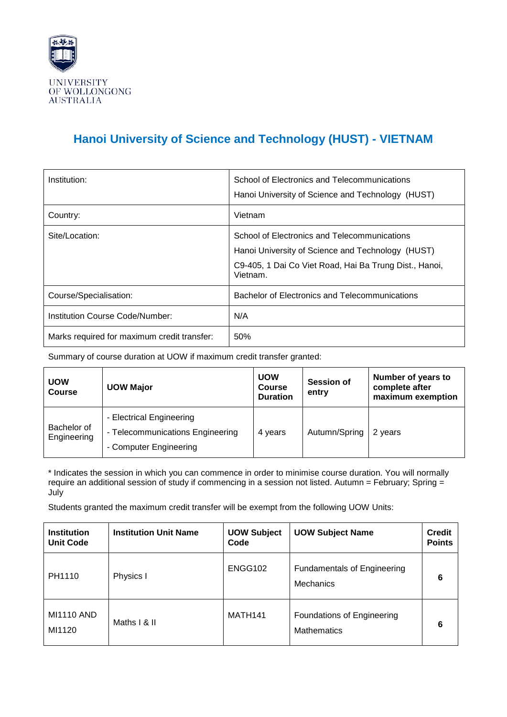

## **Hanoi University of Science and Technology (HUST) - VIETNAM**

| Institution:                                | School of Electronics and Telecommunications<br>Hanoi University of Science and Technology (HUST)                                                                       |
|---------------------------------------------|-------------------------------------------------------------------------------------------------------------------------------------------------------------------------|
| Country:                                    | Vietnam                                                                                                                                                                 |
| Site/Location:                              | School of Electronics and Telecommunications<br>Hanoi University of Science and Technology (HUST)<br>C9-405, 1 Dai Co Viet Road, Hai Ba Trung Dist., Hanoi,<br>Vietnam. |
| Course/Specialisation:                      | Bachelor of Electronics and Telecommunications                                                                                                                          |
| Institution Course Code/Number:             | N/A                                                                                                                                                                     |
| Marks required for maximum credit transfer: | 50%                                                                                                                                                                     |

Summary of course duration at UOW if maximum credit transfer granted:

| <b>UOW</b><br><b>Course</b> | <b>UOW Major</b>                                                                       | <b>UOW</b><br><b>Course</b><br><b>Duration</b> | <b>Session of</b><br>entry | Number of years to<br>complete after<br>maximum exemption |
|-----------------------------|----------------------------------------------------------------------------------------|------------------------------------------------|----------------------------|-----------------------------------------------------------|
| Bachelor of<br>Engineering  | - Electrical Engineering<br>- Telecommunications Engineering<br>- Computer Engineering | 4 years                                        | Autumn/Spring              | 2 years                                                   |

\* Indicates the session in which you can commence in order to minimise course duration. You will normally require an additional session of study if commencing in a session not listed. Autumn = February; Spring = July

Students granted the maximum credit transfer will be exempt from the following UOW Units:

| <b>Institution</b><br><b>Unit Code</b> | <b>Institution Unit Name</b> | <b>UOW Subject</b><br>Code | <b>UOW Subject Name</b>                          | <b>Credit</b><br><b>Points</b> |
|----------------------------------------|------------------------------|----------------------------|--------------------------------------------------|--------------------------------|
| PH1110                                 | Physics I                    | ENGG102                    | <b>Fundamentals of Engineering</b><br>Mechanics  | 6                              |
| <b>MI1110 AND</b><br>MI1120            | Maths I & II                 | MATH <sub>141</sub>        | Foundations of Engineering<br><b>Mathematics</b> | 6                              |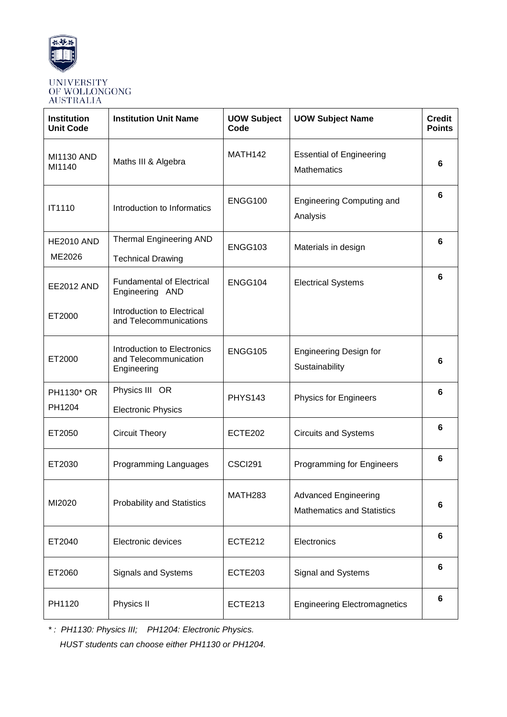

| <b>Institution</b><br><b>Unit Code</b> | <b>Institution Unit Name</b>                                                                                | <b>UOW Subject</b><br>Code | <b>UOW Subject Name</b>                                          | <b>Credit</b><br><b>Points</b> |
|----------------------------------------|-------------------------------------------------------------------------------------------------------------|----------------------------|------------------------------------------------------------------|--------------------------------|
| <b>MI1130 AND</b><br>MI1140            | Maths III & Algebra                                                                                         | MATH142                    | <b>Essential of Engineering</b><br><b>Mathematics</b>            | 6                              |
| IT1110                                 | Introduction to Informatics                                                                                 | ENGG100                    | <b>Engineering Computing and</b><br>Analysis                     | 6                              |
| <b>HE2010 AND</b><br>ME2026            | <b>Thermal Engineering AND</b><br><b>Technical Drawing</b>                                                  | ENGG103                    | Materials in design                                              | 6                              |
| <b>EE2012 AND</b><br>ET2000            | <b>Fundamental of Electrical</b><br>Engineering AND<br>Introduction to Electrical<br>and Telecommunications | ENGG104                    | <b>Electrical Systems</b>                                        | 6                              |
| ET2000                                 | Introduction to Electronics<br>and Telecommunication<br>Engineering                                         | ENGG105                    | <b>Engineering Design for</b><br>Sustainability                  | 6                              |
| PH1130* OR<br>PH1204                   | Physics III OR<br><b>Electronic Physics</b>                                                                 | <b>PHYS143</b>             | <b>Physics for Engineers</b>                                     | 6                              |
| ET2050                                 | <b>Circuit Theory</b>                                                                                       | ECTE202                    | <b>Circuits and Systems</b>                                      | 6                              |
| ET2030                                 | Programming Languages                                                                                       | CSCI291                    | <b>Programming for Engineers</b>                                 | 6                              |
| MI2020                                 | <b>Probability and Statistics</b>                                                                           | MATH <sub>283</sub>        | <b>Advanced Engineering</b><br><b>Mathematics and Statistics</b> | 6                              |
| ET2040                                 | Electronic devices                                                                                          | ECTE212                    | Electronics                                                      | 6                              |
| ET2060                                 | Signals and Systems                                                                                         | ECTE203                    | Signal and Systems                                               | 6                              |
| PH1120                                 | Physics II                                                                                                  | ECTE213                    | <b>Engineering Electromagnetics</b>                              | 6                              |

*\* : PH1130: Physics III; PH1204: Electronic Physics. HUST students can choose either PH1130 or PH1204.*